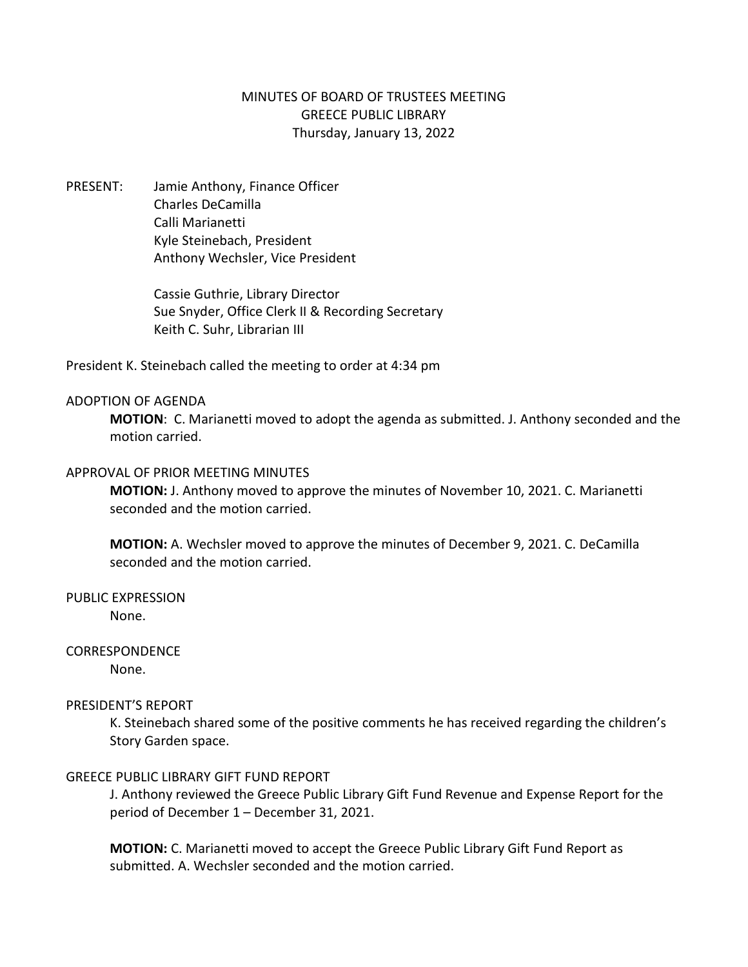# MINUTES OF BOARD OF TRUSTEES MEETING GREECE PUBLIC LIBRARY Thursday, January 13, 2022

PRESENT: Jamie Anthony, Finance Officer Charles DeCamilla Calli Marianetti Kyle Steinebach, President Anthony Wechsler, Vice President

> Cassie Guthrie, Library Director Sue Snyder, Office Clerk II & Recording Secretary Keith C. Suhr, Librarian III

President K. Steinebach called the meeting to order at 4:34 pm

### ADOPTION OF AGENDA

**MOTION**: C. Marianetti moved to adopt the agenda as submitted. J. Anthony seconded and the motion carried.

## APPROVAL OF PRIOR MEETING MINUTES

**MOTION:** J. Anthony moved to approve the minutes of November 10, 2021. C. Marianetti seconded and the motion carried.

**MOTION:** A. Wechsler moved to approve the minutes of December 9, 2021. C. DeCamilla seconded and the motion carried.

PUBLIC EXPRESSION

None.

# CORRESPONDENCE

None.

# PRESIDENT'S REPORT

K. Steinebach shared some of the positive comments he has received regarding the children's Story Garden space.

### GREECE PUBLIC LIBRARY GIFT FUND REPORT

J. Anthony reviewed the Greece Public Library Gift Fund Revenue and Expense Report for the period of December 1 – December 31, 2021.

**MOTION:** C. Marianetti moved to accept the Greece Public Library Gift Fund Report as submitted. A. Wechsler seconded and the motion carried.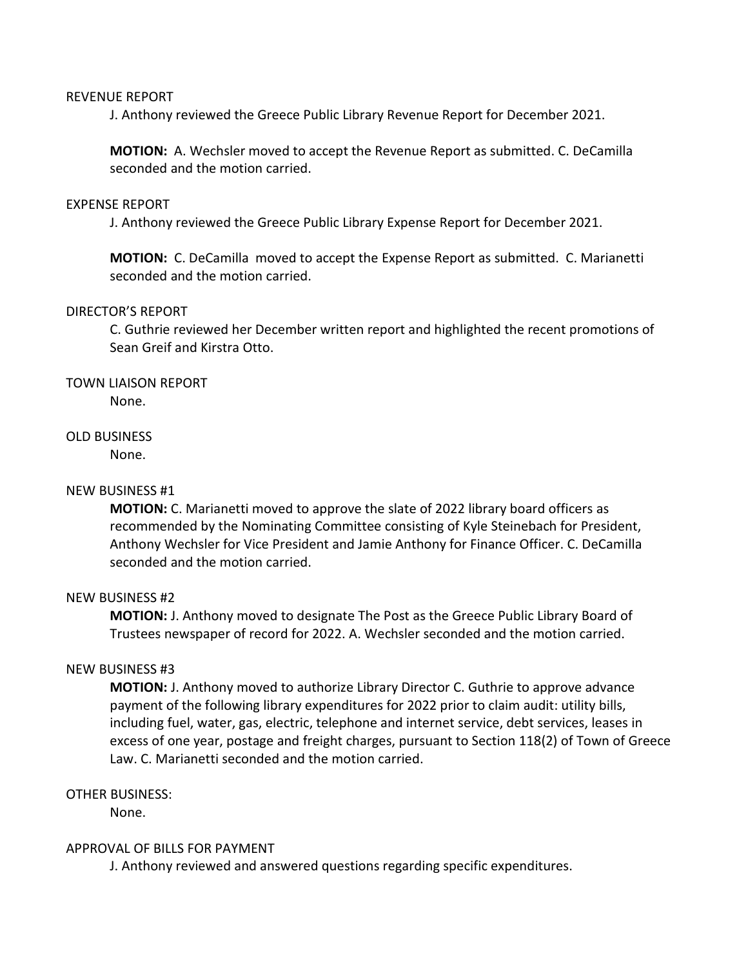#### REVENUE REPORT

J. Anthony reviewed the Greece Public Library Revenue Report for December 2021.

**MOTION:** A. Wechsler moved to accept the Revenue Report as submitted. C. DeCamilla seconded and the motion carried.

#### EXPENSE REPORT

J. Anthony reviewed the Greece Public Library Expense Report for December 2021.

**MOTION:** C. DeCamilla moved to accept the Expense Report as submitted. C. Marianetti seconded and the motion carried.

#### DIRECTOR'S REPORT

C. Guthrie reviewed her December written report and highlighted the recent promotions of Sean Greif and Kirstra Otto.

# TOWN LIAISON REPORT

None.

### OLD BUSINESS

None.

### NEW BUSINESS #1

**MOTION:** C. Marianetti moved to approve the slate of 2022 library board officers as recommended by the Nominating Committee consisting of Kyle Steinebach for President, Anthony Wechsler for Vice President and Jamie Anthony for Finance Officer. C. DeCamilla seconded and the motion carried.

### NEW BUSINESS #2

**MOTION:** J. Anthony moved to designate The Post as the Greece Public Library Board of Trustees newspaper of record for 2022. A. Wechsler seconded and the motion carried.

#### NEW BUSINESS #3

**MOTION:** J. Anthony moved to authorize Library Director C. Guthrie to approve advance payment of the following library expenditures for 2022 prior to claim audit: utility bills, including fuel, water, gas, electric, telephone and internet service, debt services, leases in excess of one year, postage and freight charges, pursuant to Section 118(2) of Town of Greece Law. C. Marianetti seconded and the motion carried.

### OTHER BUSINESS:

None.

### APPROVAL OF BILLS FOR PAYMENT

J. Anthony reviewed and answered questions regarding specific expenditures.